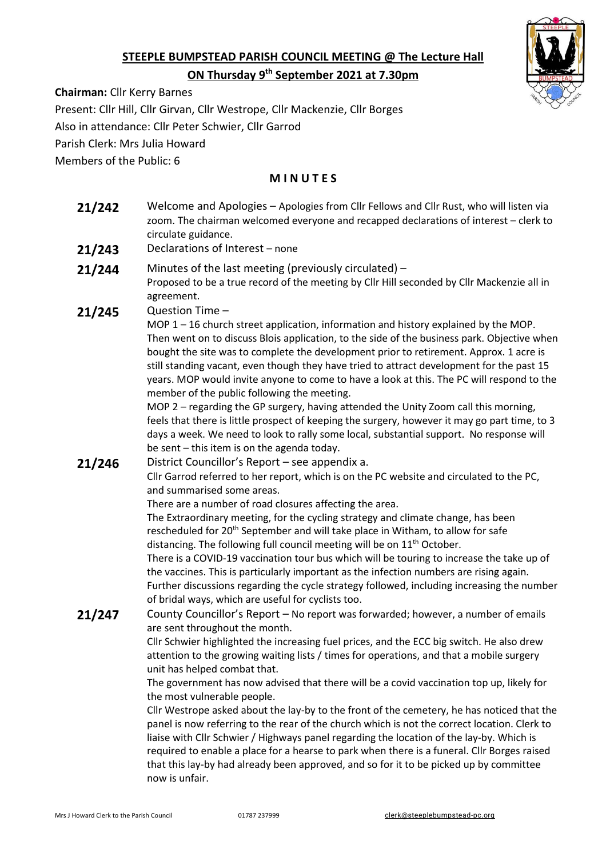# **STEEPLE BUMPSTEAD PARISH COUNCIL MEETING @ The Lecture Hall ON Thursday 9 th September 2021 at 7.30pm**



**Chairman:** Cllr Kerry Barnes

Present: Cllr Hill, Cllr Girvan, Cllr Westrope, Cllr Mackenzie, Cllr Borges

Also in attendance: Cllr Peter Schwier, Cllr Garrod

Parish Clerk: Mrs Julia Howard

Members of the Public: 6

### **M I N U T E S**

- **21/242** Welcome and Apologies Apologies from Cllr Fellows and Cllr Rust, who will listen via zoom. The chairman welcomed everyone and recapped declarations of interest – clerk to circulate guidance.
- **21/243** Declarations of Interest none
- **21/244** Minutes of the last meeting (previously circulated) Proposed to be a true record of the meeting by Cllr Hill seconded by Cllr Mackenzie all in agreement.
- **21/245** Question Time –

MOP 1 – 16 church street application, information and history explained by the MOP. Then went on to discuss Blois application, to the side of the business park. Objective when bought the site was to complete the development prior to retirement. Approx. 1 acre is still standing vacant, even though they have tried to attract development for the past 15 years. MOP would invite anyone to come to have a look at this. The PC will respond to the member of the public following the meeting.

MOP 2 – regarding the GP surgery, having attended the Unity Zoom call this morning, feels that there is little prospect of keeping the surgery, however it may go part time, to 3 days a week. We need to look to rally some local, substantial support. No response will be sent – this item is on the agenda today.

### **21/246** District Councillor's Report – see appendix a.

Cllr Garrod referred to her report, which is on the PC website and circulated to the PC, and summarised some areas.

There are a number of road closures affecting the area.

The Extraordinary meeting, for the cycling strategy and climate change, has been rescheduled for 20<sup>th</sup> September and will take place in Witham, to allow for safe distancing. The following full council meeting will be on  $11<sup>th</sup>$  October.

There is a COVID-19 vaccination tour bus which will be touring to increase the take up of the vaccines. This is particularly important as the infection numbers are rising again. Further discussions regarding the cycle strategy followed, including increasing the number of bridal ways, which are useful for cyclists too.

21/247 County Councillor's Report – No report was forwarded; however, a number of emails are sent throughout the month.

> Cllr Schwier highlighted the increasing fuel prices, and the ECC big switch. He also drew attention to the growing waiting lists / times for operations, and that a mobile surgery unit has helped combat that.

The government has now advised that there will be a covid vaccination top up, likely for the most vulnerable people.

Cllr Westrope asked about the lay-by to the front of the cemetery, he has noticed that the panel is now referring to the rear of the church which is not the correct location. Clerk to liaise with Cllr Schwier / Highways panel regarding the location of the lay-by. Which is required to enable a place for a hearse to park when there is a funeral. Cllr Borges raised that this lay-by had already been approved, and so for it to be picked up by committee now is unfair.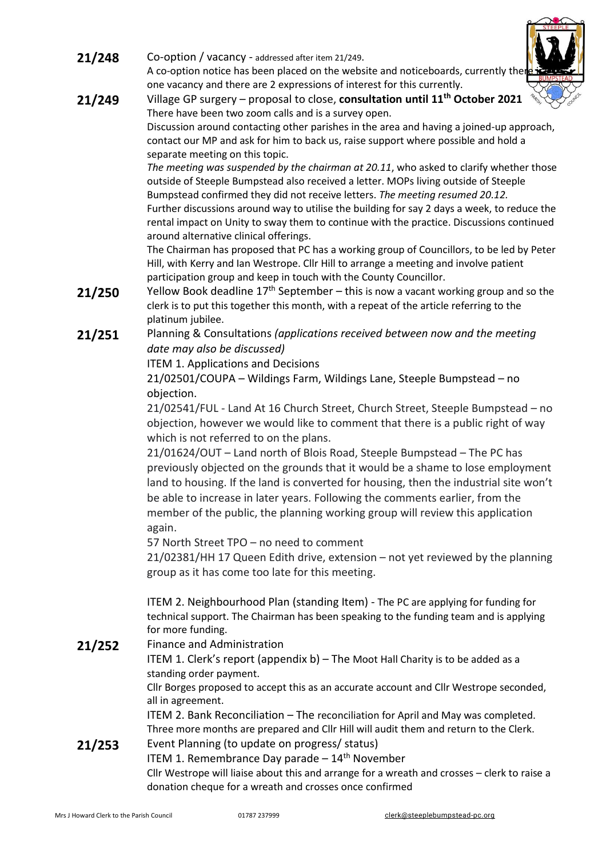- **21/248** Co-option / vacancy addressed after item 21/249. A co-option notice has been placed on the website and noticeboards, currently there one vacancy and there are 2 expressions of interest for this currently.
- **21/249** Village GP surgery proposal to close, **consultation until 11th October 2021** There have been two zoom calls and is a survey open. Discussion around contacting other parishes in the area and having a joined-up approach, contact our MP and ask for him to back us, raise support where possible and hold a separate meeting on this topic.

*The meeting was suspended by the chairman at 20.11*, who asked to clarify whether those outside of Steeple Bumpstead also received a letter. MOPs living outside of Steeple Bumpstead confirmed they did not receive letters. *The meeting resumed 20.12.* Further discussions around way to utilise the building for say 2 days a week, to reduce the rental impact on Unity to sway them to continue with the practice. Discussions continued around alternative clinical offerings.

The Chairman has proposed that PC has a working group of Councillors, to be led by Peter Hill, with Kerry and Ian Westrope. Cllr Hill to arrange a meeting and involve patient participation group and keep in touch with the County Councillor.

- **21/250** Yellow Book deadline 17<sup>th</sup> September this is now a vacant working group and so the clerk is to put this together this month, with a repeat of the article referring to the platinum jubilee.
- **21/251** Planning & Consultations *(applications received between now and the meeting date may also be discussed)*

ITEM 1. Applications and Decisions

21/02501/COUPA – Wildings Farm, Wildings Lane, Steeple Bumpstead – no objection.

21/02541/FUL - Land At 16 Church Street, Church Street, Steeple Bumpstead – no objection, however we would like to comment that there is a public right of way which is not referred to on the plans.

21/01624/OUT – Land north of Blois Road, Steeple Bumpstead – The PC has previously objected on the grounds that it would be a shame to lose employment land to housing. If the land is converted for housing, then the industrial site won't be able to increase in later years. Following the comments earlier, from the member of the public, the planning working group will review this application again.

57 North Street TPO – no need to comment

21/02381/HH 17 Queen Edith drive, extension – not yet reviewed by the planning group as it has come too late for this meeting.

ITEM 2. Neighbourhood Plan (standing Item) - The PC are applying for funding for technical support. The Chairman has been speaking to the funding team and is applying for more funding.

21/252 Finance and Administration

ITEM 1. Clerk's report (appendix b) – The Moot Hall Charity is to be added as a standing order payment.

Cllr Borges proposed to accept this as an accurate account and Cllr Westrope seconded, all in agreement.

ITEM 2. Bank Reconciliation – The reconciliation for April and May was completed. Three more months are prepared and Cllr Hill will audit them and return to the Clerk.

### 21/253 Event Planning (to update on progress/ status)

ITEM 1. Remembrance Day parade  $-14<sup>th</sup>$  November

Cllr Westrope will liaise about this and arrange for a wreath and crosses – clerk to raise a donation cheque for a wreath and crosses once confirmed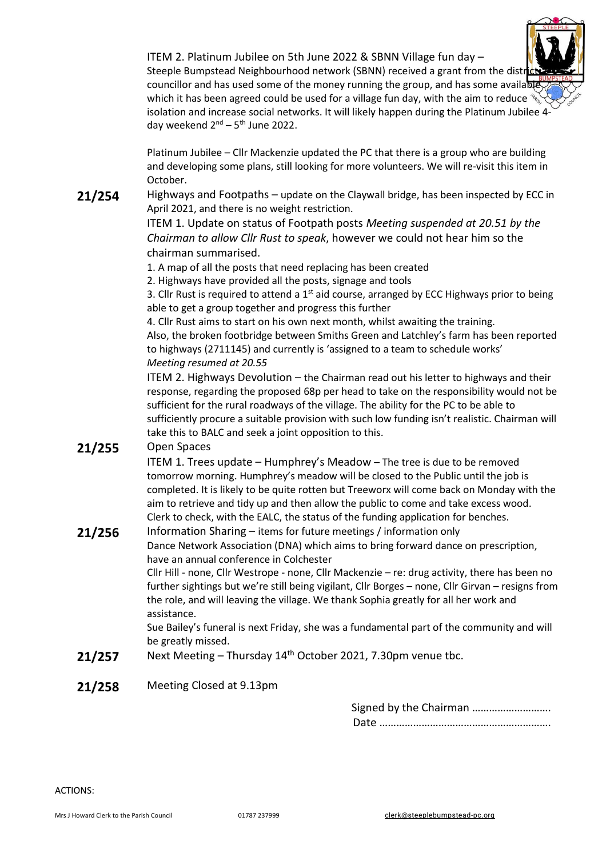

Steeple Bumpstead Neighbourhood network (SBNN) received a grant from the distriction councillor and has used some of the money running the group, and has some available which it has been agreed could be used for a village fun day, with the aim to reduce isolation and increase social networks. It will likely happen during the Platinum Jubilee 4 day weekend 2<sup>nd</sup> – 5<sup>th</sup> June 2022.

Platinum Jubilee – Cllr Mackenzie updated the PC that there is a group who are building and developing some plans, still looking for more volunteers. We will re-visit this item in October.

21/254 Highways and Footpaths – update on the Claywall bridge, has been inspected by ECC in April 2021, and there is no weight restriction.

> ITEM 1. Update on status of Footpath posts *Meeting suspended at 20.51 by the Chairman to allow Cllr Rust to speak*, however we could not hear him so the chairman summarised.

1. A map of all the posts that need replacing has been created

2. Highways have provided all the posts, signage and tools

3. Cllr Rust is required to attend a  $1<sup>st</sup>$  aid course, arranged by ECC Highways prior to being able to get a group together and progress this further

4. Cllr Rust aims to start on his own next month, whilst awaiting the training. Also, the broken footbridge between Smiths Green and Latchley's farm has been reported to highways (2711145) and currently is 'assigned to a team to schedule works' *Meeting resumed at 20.55*

ITEM 2. Highways Devolution – the Chairman read out his letter to highways and their response, regarding the proposed 68p per head to take on the responsibility would not be sufficient for the rural roadways of the village. The ability for the PC to be able to sufficiently procure a suitable provision with such low funding isn't realistic. Chairman will take this to BALC and seek a joint opposition to this.

## **21/255** Open Spaces

ITEM 1. Trees update – Humphrey's Meadow – The tree is due to be removed tomorrow morning. Humphrey's meadow will be closed to the Public until the job is completed. It is likely to be quite rotten but Treeworx will come back on Monday with the aim to retrieve and tidy up and then allow the public to come and take excess wood. Clerk to check, with the EALC, the status of the funding application for benches.

## **21/256** Information Sharing – items for future meetings / information only

Dance Network Association (DNA) which aims to bring forward dance on prescription, have an annual conference in Colchester

Cllr Hill - none, Cllr Westrope - none, Cllr Mackenzie – re: drug activity, there has been no further sightings but we're still being vigilant, Cllr Borges – none, Cllr Girvan – resigns from the role, and will leaving the village. We thank Sophia greatly for all her work and assistance.

Sue Bailey's funeral is next Friday, she was a fundamental part of the community and will be greatly missed.

- 21/257 Next Meeting Thursday 14<sup>th</sup> October 2021, 7.30pm venue tbc.
- **21/258** Meeting Closed at 9.13pm

Signed by the Chairman ………………………. Date …………………………………………………….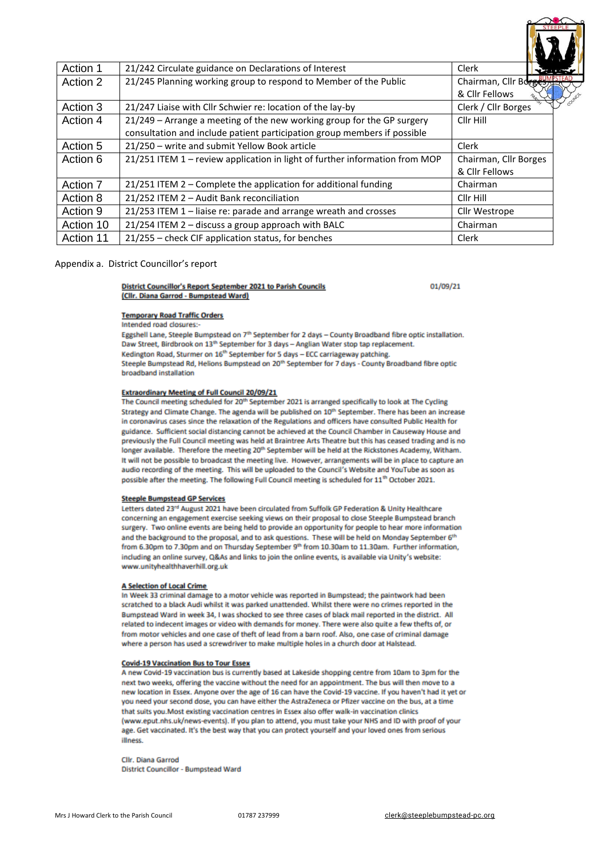| Action 1  | 21/242 Circulate guidance on Declarations of Interest                                                                                              | Clerk                                   |  |
|-----------|----------------------------------------------------------------------------------------------------------------------------------------------------|-----------------------------------------|--|
| Action 2  | 21/245 Planning working group to respond to Member of the Public                                                                                   | Chairman, Cllr Borges<br>& Cllr Fellows |  |
| Action 3  | 21/247 Liaise with Cllr Schwier re: location of the lay-by                                                                                         | Clerk / Cllr Borges                     |  |
| Action 4  | 21/249 - Arrange a meeting of the new working group for the GP surgery<br>consultation and include patient participation group members if possible | Cllr Hill                               |  |
| Action 5  | 21/250 - write and submit Yellow Book article                                                                                                      | Clerk                                   |  |
| Action 6  | 21/251 ITEM 1 - review application in light of further information from MOP                                                                        | Chairman, Cllr Borges<br>& Cllr Fellows |  |
| Action 7  | 21/251 ITEM 2 - Complete the application for additional funding                                                                                    | Chairman                                |  |
| Action 8  | 21/252 ITEM 2 - Audit Bank reconciliation                                                                                                          | Cllr Hill                               |  |
| Action 9  | 21/253 ITEM 1 - liaise re: parade and arrange wreath and crosses                                                                                   | Cllr Westrope                           |  |
| Action 10 | 21/254 ITEM 2 - discuss a group approach with BALC                                                                                                 | Chairman                                |  |
| Action 11 | 21/255 – check CIF application status, for benches                                                                                                 | Clerk                                   |  |

### Appendix a. District Councillor's report

#### District Councillor's Report September 2021 to Parish Councils (Clir. Diana Garrod - Bumpstead Ward)

01/09/21

#### **Temporary Road Traffic Orders**

Intended road closures:-

Eggshell Lane, Steeple Bumpstead on 7th September for 2 days - County Broadband fibre optic installation. Daw Street, Birdbrook on 13th September for 3 days - Anglian Water stop tap replacement. Kedington Road, Sturmer on 16<sup>th</sup> September for 5 days - ECC carriageway patching. Steeple Bumpstead Rd, Helions Bumpstead on 20<sup>th</sup> September for 7 days - County Broadband fibre optic broadband installation

#### **Extraordinary Meeting of Full Council 20/09/21**

The Council meeting scheduled for 20<sup>th</sup> September 2021 is arranged specifically to look at The Cycling Strategy and Climate Change. The agenda will be published on 10<sup>th</sup> September. There has been an increase in coronavirus cases since the relaxation of the Regulations and officers have consulted Public Health for guidance. Sufficient social distancing cannot be achieved at the Council Chamber in Causeway House and previously the Full Council meeting was held at Braintree Arts Theatre but this has ceased trading and is no longer available. Therefore the meeting 20<sup>th</sup> September will be held at the Rickstones Academy, Witham. It will not be possible to broadcast the meeting live. However, arrangements will be in place to capture an audio recording of the meeting. This will be uploaded to the Council's Website and YouTube as soon as possible after the meeting. The following Full Council meeting is scheduled for 11<sup>th</sup> October 2021.

#### **Steeple Bumpstead GP Services**

Letters dated 23rd August 2021 have been circulated from Suffolk GP Federation & Unity Healthcare concerning an engagement exercise seeking views on their proposal to close Steeple Bumpstead branch surgery. Two online events are being held to provide an opportunity for people to hear more information and the background to the proposal, and to ask questions. These will be held on Monday September 6th from 6.30pm to 7.30pm and on Thursday September 9th from 10.30am to 11.30am. Further information, including an online survey, Q&As and links to join the online events, is available via Unity's website: www.unityhealthhaverhill.org.uk

#### **A Selection of Local Crime**

In Week 33 criminal damage to a motor vehicle was reported in Bumpstead; the paintwork had been scratched to a black Audi whilst it was parked unattended. Whilst there were no crimes reported in the Bumpstead Ward in week 34, I was shocked to see three cases of black mail reported in the district. All related to indecent images or video with demands for money. There were also quite a few thefts of, or from motor vehicles and one case of theft of lead from a barn roof. Also, one case of criminal damage where a person has used a screwdriver to make multiple holes in a church door at Halstead.

#### **Covid-19 Vaccination Bus to Tour Essex**

A new Covid-19 vaccination bus is currently based at Lakeside shopping centre from 10am to 3pm for the next two weeks, offering the vaccine without the need for an appointment. The bus will then move to a new location in Essex. Anyone over the age of 16 can have the Covid-19 vaccine. If you haven't had it yet or you need your second dose, you can have either the AstraZeneca or Pfizer vaccine on the bus, at a time that suits you. Most existing vaccination centres in Essex also offer walk-in vaccination clinics (www.eput.nhs.uk/news-events). If you plan to attend, you must take your NHS and ID with proof of your age. Get vaccinated. It's the best way that you can protect yourself and your loved ones from serious illness.

Cllr. Diana Garrod District Councillor - Bumpstead Ward